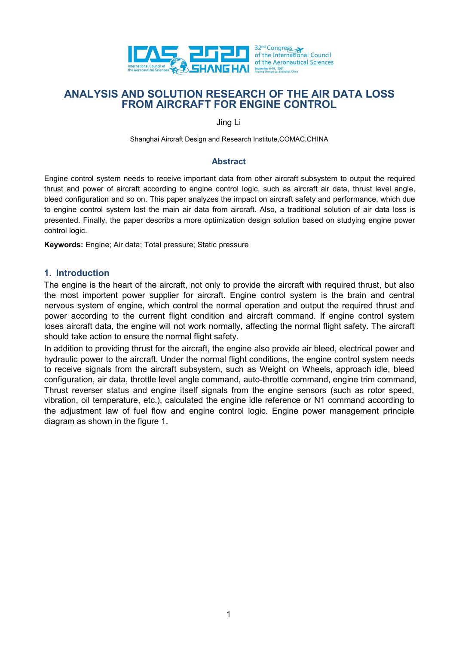

### Abstract

ENGINEERT TOR BOLLY CONTROL COMAC, CHINA THAT THE AIR DATA LOSS<br>
ENGINEERT FOR ENGINE CONTROL<br>
Shanghai Aircraft Design and Research Institute, COMAC, CHINA<br>
Engine control system needs to receive important data from other THRUST AND SOLUTION RESEARCH OF THE AIR DATA LOSS<br>
FROM AIRCRAFT FOR ENGINE CONTROL<br>
Simple Line Apple and Solution of the American Sciences<br>
Simple Line And Bold and power of aircraft actor of the Second Magnetic CONTROL<br> **bleed configuration and so one of the internal so one of the internal so one of the internal so one of the internal so one of the internal so one of the internal so one of the inpact on a so one of the internal behavior a** THE THE AIR DATA LOSS<br>
THANG HAL SURFAND SOLUTION RESEARCH OF THE AIR DATA LOSS<br>
FROM AIRCRAFT FOR ENGINE CONTROL<br>
Ung Li<br>
Shanghai Aircraft Design and Research Institute, CONAC, CHINA<br>
Abstract<br>
Angle control system needs **EVALUST AND SOLUTION RESEARCH OF THE AIR DATA LOSS**<br> **EVALUSTS AND SOLUTION RESEARCH OF THE AIR DATA LOSS**<br>
FROM AIRCRAFT FOR ENGINE CONTROL<br>
Jing Li<br>
Shanghai Aircraft Design and Research Institute, COMAC, CHINA<br>
Abstra **EVALUATE ANNALYSIS AND SOLUTION RESEARCH OF THE ANNALYSIS AND SOLUTION RESEARCH OF THE ANNALYSIS AND SOLUTION RESEARCH OF THE ANNALYSIS AND SOLUTION RESEARCH OF THE ANNAPORT FOR ENGINE CONTR<br>
Jing Li<br>
Shanghai Aircraft De** ENTRETTING THE BUT THE AIR DATE CONTROL<br>
ANALYSIS AND SOLUTION RESEARCH OF THE AIR DATA LOSS<br>
FROM AIRCRAFT FOR ENGINE CONTROL<br>
Ung Li<br>
Shanghai Aircraft Design and Research Institute, COMAC, CHINA<br>
Abstract<br>
Engine contro **EXERIM ANALYSIS AND SOLUTION RESEARCH OF THE AIR DATA LOSS**<br>
FROM AIRCRAFT FOR ENGINE CONTROL<br>
Jing Li<br>
Shanghai Aircraft Design and Research Institute,COMAC,CHINA<br>
Abstract<br>
Engine control system needs to receive importa FROM AIRCRAFT FOR ENGINE CONTROL<br>
Ing Li<br>
Shanghai Aircraft Design and Research Institute.COMAC.CHINA<br>
Abstract<br>
Engine control system needs to receive importion data from other aircraft subsystem to output the required<br>
t nervous system of engine and Research Institute, COMAC, CHINA<br>
abstract<br>
Engine control system needs to receive important data from other aircraft subsystem to output the required<br>
fluxes and power of aircraft such as and Jing Li<br>
Shanghai Aircraft Design and Research Institute, COMAC, CHINA<br>
Abstract<br>
Abstract<br>
Engine control system needs to receive important data from other aircraft subsystem to output the required<br>
thrust and power of ai Shanghai Aircraft Design and Reeserch Institute, COMAC, CHINA<br>
Abstract<br>
Abstract<br>
Abstract<br>
Abstract<br>
Abstract<br>
Abstract<br>
Abstract<br>
Abstract<br>
Abstract<br>
Abstract<br>
Abstract<br>
Abstract<br>
Abstract<br>
Abstract<br>
Abstract<br>
Abstract<br> Shanghai Aircraft Design and Research Institute, COMAC, CHINA<br>
Abstract<br>
Abstract<br>
Abstract<br>
Abstract<br>
Abstract<br>
Abstract<br>
Abstract<br>
Abstract<br>
Abstract<br>
Here actions are discreasing to engine control logic, such as a incre Abstract<br>
Abstract<br>
Home control system needs to receive important data from other aristrary stations and the required<br>
the disconfiguration and so on. This paper analyzes the impact on aircraft air data, thrust level angl

## 1. Introduction

Abstract<br>
Abstract<br>
flemster, and power of aircraft according to engine control logic, such as aircraft air data, thrust level angle,<br>
bleed configuration and so on. This paper analyzes the impact on aircraft safety and pe Engine control system needs to receive important data from other aircraft subsystem to output the required thust and power of aircraft such as weiver a diversion of aircraft substant and the angle, beled configuration and Engire Configure threas of level in probable and non outer antwar solution and an any system of depresented and only the temperature equine to the be to engine control system is the main air data from aircraft, also, a tra Imaxi and power ein antial to account of the aircraft subsect on a streat and way than the engine on the engine control system lost the main and tata from aircraft. Also, a traditional solution of air data loss is to engin be to the start of the main and some the engine of the engine or the engine control and solid or the diging control system lost the main air data from aircraft. Also, a traditional solution of air data loss is presented. F to engine control system to the main at teach for the main and the adjustment control logic.<br> **Keywords:** Engine, Air data, Total pressure, Static pressure<br> **Keywords:** Engine, Air data, Total pressure, Static pressure<br> **1** presente. Triany, the paper describes a interesponsation design solidion based on studying engine power<br>control logic.<br>**Keywords:** Engine; Air data; Total pressure; Static pressure<br>the figure is the heart of the aircraft,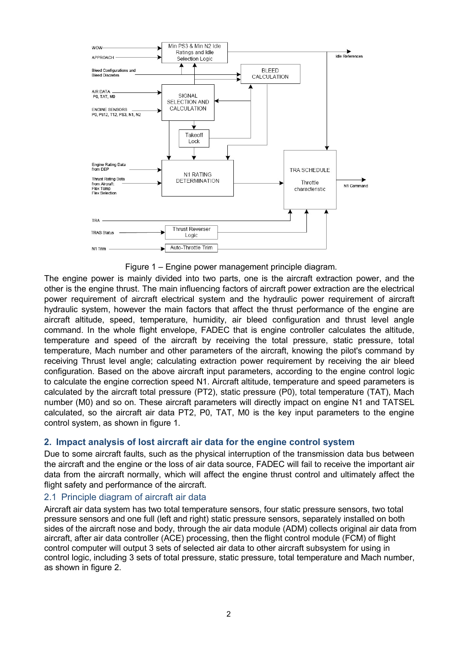

Command Command Command Command Command Command Command Command Command Command Command Command Command Command Command Command Command Command Command Command Command Command Command Command Command Command Command Comman TRA SCHEDARE TRANSFORE THE AIR SCHEDARE TRANSFORE TRANSFORE TRANSFORE TRANSFORE TRANSFORE TRANSFORE TRANSFORE TRANSFORE TRANSFORE TRANSFORE TRANSFORE TRANSFORE TRANSFORE TRANSFORE TRANSFORE TRANSFORE TRANSFORE TRANSFORE TR THE PROFICE THE CONDITION THE CONDITION THE CONDITION THE CONDITION THE CONDITION THE CONDITION THE CONDITION THE CONDITION THE CONDITION THE CONDITION THE CONDITION THE CONDITION THE CONDITION THE CONDITION THE CONDITION FRA SCHEDVILE<br>
THE ROLLE TOWER TOWERT THE TRANSIS THE CHAIRMON TRANSIS THE CHAIRMON TRANSIS THE CHAIRMON TRANSIS THE CHAIRMON TRANSIS THE CHAIRMON TRANSIS THE CHAIRMON TRANSIS THE CHAIRMON TRANSIS THE CHAIRMON TRANSIS THE Throut Eventual Transmitter on the above airclaim of the above airclaim of the above and the above airclaim of the above airclaim of the above airclaim of the above airclaim of the above airclaim of the above and the engi The engine power is many interesting the correction speed of the engine power is mainly divided into two parts, one is the aircraft extraction power, and the other is the engine thrust. The main influencing factors of air FREE PROFIT THE CHINE THE CHINE THE CHINE THE CHINE THE CHINE THE CHINE THE CHINE THE CHINE THE CHINE THE CHINE CHINE THE CHINE CHINE CHINE CHINE CHINE CHINE CHINE CHINE CHINE CHINE CHINE CHINE CHINE CHINE CHINE CHINE CHIN The engine power is many interest in the constrained in the constrained in the engine power is mainly divided into two parts, one is the aircraft extraction power, and the engine through the main influencing factors of ai The engine power is mainly divided into the particulate air of the engine power is mainly divided into the particulate into the engine power is mainly divided into the particular of air and the particular power requiremen The engine power many interference in the through the tempthe control is the matter of the threat term of the engine power is mainly divided into two parts, one is the aircraft extraction power, and the other is the engin **Example 1.** Engine power management principle diagram.<br>
The engine power is mainly divided into two parts, one is the aircraft extraction power, and the other is the propries mainly divided into two parts, one is the air Figure 1 – Engine power management principle diagram.<br>
Or the signer that main influencing factors of sinceraft power requirement of aircraft electrical system and the hydraulic power requirement of aircraft decritical sys The engine power is mail to Engine power mangement principle diagram.<br>The engine bower is mainly divided into two parts, one is the aircraft extraction power, and the other is the engine thrust. The main influencing facto The engine power is mainly divided into two parts, one is the aircraft extraction power, and the selectrical power requirement of aircraft electrical system and the hydraulic power requirement of aircraft electrical system other is the engine thurst. The main influencing factors of aircraft power extraction are the electrical system, however the main factors that affect the thrust performance of the engine are power requirement of aircraft e power requirement of aircraft electrical system and the hydralic power requirement of aircraft electrical system, however the main factors that affect the thrust performance of the engine are aircraft altitude, expeed, tem nyrature system, nowever ine main factors mat ariset ine intust performance of the eigine are<br>narcraft altitude, speed, temperature, humidity, air bled configuration and thrust level angle<br>command. In the whole flight enve arcerar and speed, remperature, numurity, air beed cominguraton and trust level angles command. In the whole flight envelope, FADEC that is engine controller calculates the altitude, temperature and speed of the aircraft b comman. In the whole flught envelope, FADEC that is engine controller calculates the altitude, contanting the physical temperature and speed of the aircraft by receiving the toll pressure, static pressure, total temperatur temperature and speed of the aircraft air data controller the basis pressure, static pressure, that be ally controller controller controller the preserving the plict's command by receiving Thrust level angle; calculating e remerature. Mach number and other parameters of the aircraft, knowing the plict's command by<br>receiving Thrust level angle; calculating extraction power requirement by receiving the air bleed<br>configuration. Based on the abo recoiving Thrust level angle; calculating extraction power requirement by receiving the air bleed<br>configuration. Based on the above aircraft input parameters, according to the engine control logic<br>to calculate the engine c

configuration. Based on the above aircraft input parameters, according to the engine<br>to calculate the engine correction speed N1. Aircraft altitude, temperature and speed<br>calculated by the aircraft total pressure (PT2), st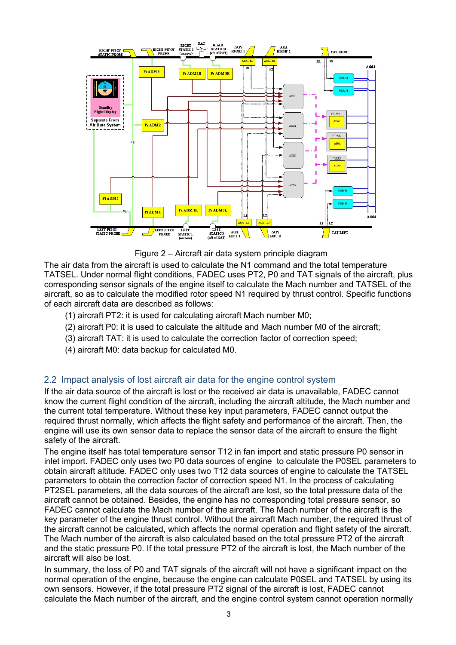



- 
- 
- 
- 

The air data form the aircraft is used to calculate the N1 command and the total temperature<br>
The air data from the aircraft is used to calculate the N1 command and the total temperature<br>
The air data from the aircraft is **Example the current fluid condition of the current fluid condition of the aircraft altitude, the current fluid condition of the aircraft, including the aircraft, including the aircraft altitude, the Mach number of the ai** The air data from the aircraft is used to calculate the Normannial on the total temperature.<br>The current total temperature. The current temperature of the current total temperature. The current output output output the st Figure 1.1 The aircraft air data by the flight safety and the flight same of the signal same of the signal safety and the signal of the signal of the signal of the signal of the signal of the signal of the signal of the s From the air called the sensor data to replace the Normal state of the Normal state in the basic consideration is used to calculate the Normal and the total tensor or speeding sensor signals of the aircraft, plus correspo Figure 2 – Aircraft air data system principle diagram<br>The air data from the aircraft is used to calculate the N1 command and the total<br>TATSEL. Under normal flight conditions, FADEC uses PT2, P0 and TAT signals<br>correspondin File air data from the aircraft are detected for the distinguitary data synthetic and the static members and the back of the engine light conducted the Modicle the Modicle temperature in TATSEL of the engine sensor signals

The air data from the aircraft is used to calculate the N1 commund and the total temperature and the bare N1 commund and the total temperature and TATSEL of the aircraft, plus corresponding sensor signals of the engine its TATSEL. Under normal flight conditions, FADEC uses PT2, P0 and TAT signals of the aircraft, plus<br>corresponding sensor signals of the engine itself to calculate the Mach number and TATSEL of the<br>aircraft, so as to calculate corresponding sensor signals of the engine itself to calculate the Mach number and TATSEL of the<br>aircraft, so as to calculate the modified rotor speed N1 required by thrust control. Specific functions<br>of each aircraft T42: aircraft, so as to calculate the modified rotor speed N1 required by thrust control. Specific functions<br>
(1) aircraft PT2: it is used to calculating aircraft Mach number M0;<br>
(2) aircraft PT2: it is used to calculate the a of each aircraft data are described as follows:<br>
(1) aircraft FT2: it is used to calculating aircraft Mach number M0;<br>
(2) aircraft FT2: it is used to calculate the altitude and Mach number M0 of the aircraft;<br>
(3) aircraf (1) aircraft PT2: it is used for calculating aircraft Mach number M0;<br>
(2) aircraft T-0: it is used to calculate the altitude and Mach number M0 of the aircraft;<br>
(3) aircraft T-0: it is used to calculate the aircraction (2) aircraft P0: it is used to calculate the altitude and Mach number M0 of the aircraft;<br>
(3) aircraft TAT: it is used to calculate the correction factor of correction speed;<br>
(4) aircraft M0: data backup for calculated M (3) aircraft The liest of the cannot be calculated to the control which are the correction speed;<br>
(4) aircraft TAT: it is used to calculate the correction factor of correction speed;<br>
(4) aircraft can alwiss of lost aircr (3) anticiant Mr. This based to calculated the conceluori racion is control system<br>
2.2 Impact analysis of lost aircraft air data for the engine control system<br>
the air data source of the aircraft is lost or the received a (4) ancraft M0: data backup for calculated M0.<br>
2.2 Impact analysis of lost aircraft air data for the engine control system<br>
If the air data source of the aircraft is lost or the received air data is unavailable, FADEC can 2.2 Impact analysis of lost aircraft air data for the engine control system<br>If the air data source of the aircraft is lost or the received air data is unavailable, FADE<br>three air data source of the aircraft is lost or the 2.2 Impact analysis of lost aircraft air data for the engine control system<br>
If the air data source of the aircraft is lost or the received air data is unavailable, PRDEC cannot<br>
know the current flight condition of the ai 2.2. Impect a may issue of the engine to the engine control system of the engine control state of the engine control system. If the engine control step in the engine control of the enterint fight condition of the enterint If the air data source of the eircraft is lost or the received air data is unavailable, FADEC cannot the two the methan is lost of the aircraft, including the aircraft altitude, the Mach number and the current total temper know the current flight condition of the aircraft, including the aircraft altitude, the Mach number and the worrent total temperature. Without these key input parameters, FADEC cannot output the required thrust normally, w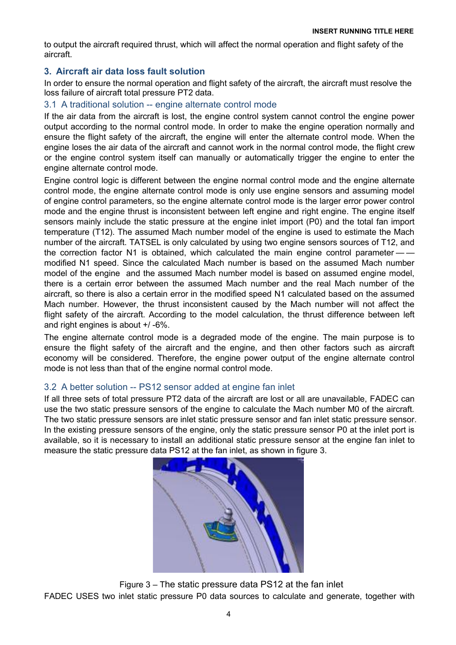INSERT RUNNING TITLE HERE<br>
In and flight safety of the<br>
International control of the state of the state of the state of the state of the state of the state of the state of the state of the state of the state of the state o INSERT RUNNING TITLE HERE<br>to output the aircraft required thrust, which will affect the normal operation and flight safety of the<br>aircraft.<br>In order to ensure the normal operation and flight safety of the aircraft, the air aircraft.

INSERT RUNNING TITLE HERE<br>to output the aircraft required thrust, which will affect the normal operation and flight safety of the<br>aircraft.<br>3. Aircraft air data loss fault solution<br>In order to ensure the normal operation a

INSERT RUNNING TITLE HERE<br>In output the aircraft required thrust, which will affect the normal operation and flight safety of the<br>aircraft.<br>3. Aircraft air data loss fault solution<br>In order to ensure the normal operation a INSERT RUNNING TITLE HERE<br>
in SERT RUNNING TITLE HERE<br>
aircraft.<br>
3. Aircraft air data loss fault solution<br>
In order to ensure the normal operation and flight safety of the aircraft, the aircraft must resolve the<br>
loss fai INSERT RUNNING TITLE HERE<br>
interactional solution<br>
3. Aircraft air data loss fault solution<br>
In order to ensure the normal operation and flight safety of the aircraft, the aircraft must resolve the<br>
loss failure of aircraf INSERT RUNNING TITLE HERE<br>
INSERT RUNNING TITLE HERE<br>
aircraft.<br>
3. Aircraft air data loss fault solution<br>
In order to ensure the normal operation and flight safety of the aircraft, the aircraft must resolve the<br>
In order **INSERT RUNNING TITLE HERE**<br> **INSERT RUNNING TITLE HERE**<br> **according the normal control model model model model model model model model to ensure the normal operation and flight safety of the aircraft, the aircraft must re** INSERT RUNNING TITLE HERE<br>
incraft.<br>
aircraft air data loss fault solution<br>
1. Aircraft air data loss fault solution<br>
In order to ensure the normal operation and flight safety of the aircraft, the aircraft must resolve the INSERT RUNNING TITLE HERE<br>INSERT RUNNING TITLE HERE<br>aircraft.<br>3. Aircraft air data loss fault solution<br>In order to ensure the normal operation and flight safety of the aircraft, the aircraft must resolve the<br>loss fallure o **INSERT RUNNING TITLE HERE**<br> **INSERT RUNNING TITLE HERE**<br> **3. Aircraft air data loss fault solution**<br> **3. Aircraft air data loss fault solution**<br>
In order to ensure the normal operation and flight safety of the aircraft mu INSERT RUNNING TIT<br>
INSERT RUNNING TIT<br>
interaft.<br>
3. Aircraft air data loss fault solution<br>
In order to ensure the normal operation and flight safety of the aircraft, the aircraft must reso<br>
loss failure of aircraft total **INSERT RUNNING TITLE HERE**<br>
INSERT RUNNING TITLE HERE<br>
aircraft air data loss fault solution<br>
In order to ensure the normal operation and flight safety of the<br>
In order to ensure the normal operation and flight safety of

**INSERT RUNNING TITLE HERE**<br>
INSERT RUNNING TITLE HERE<br>
aircraft air data loss fault solution<br>
1. A Aircraft air data loss fault solution<br>
In order to ensure the normal operation and flight safety of the aircraft, the airc **INSERT RUNNING TITLE HERE**<br> **INSERT RUNNING TITLE HERE**<br>
aircraft.<br> **3.** Aircraft air data loss fault solution<br>
In order to ensure the normal operation and flight safety of the aircraft, the aircraft must resolve the<br>
In **INSERT RUNNING TITLE HERE**<br>
incraft.<br>
aircraft air data loss fault solution<br>
1). Aircraft air data loss fault solution<br>
In order to ensure the normal operation and flight safety of the aircraft, the aircraft must resolve IN SERT RUNNING TITLE HERE<br>aircraft.<br>aircraft.<br>aircraft air data loss fault solution<br>In order to ensure the normal operation and flight safety of the aircraft, the aircraft must resolve the<br>loss fallure of aircraft total p to output the aircraft required thrust, which will affect the normal operation and flight safety of the aircraft.<br>
3. Aircraft air data loss fault solution<br>
10. Octo ensure the normal operation and flight safety of the air to culput the aircraft required thrust, which will affect the normal operation and flight safety of the aircraft.<br>
3. Aircraft air data loss fault solution<br>
In order to ensure the normal operation and flight safety of the aircraft.<br>
and Arcraft air data loss fault solution<br>
and morder to ensure the normal operation and flight safety of the aircraft, the aircraft must resolve the<br>
loss fallure of aircraft total pressure PT2 data.<br>
In A tradi 3. Aircraft air data loss fault solution<br>In order to ensure the normal operation and flight safety of the aircraft, the aircraft must resolve the<br>loss failure of aircraft total persure PT2 data.<br>3.1 A traditional solution or extreme that the restricted pressume of the engine is the and the moment of the and the engine of an A hardictional solution – engine alternate control mode<br>and the endirect of and the more proposed and flight safety of mouse to ensure the intraction and person and the matter of the aircrain, the anti-must resolve the first at fit the aircrain to be the matter of the acceleration - engine alternate control mode<br>output according to the nor box and the mother and the more in the active of the modified based on the engine power<br>and 3.1 A traditional solution -- engine alternate control system cannot control the engine power<br>or the air data from the aircraft is 3. The autothal solution the engine and the aircraft, the digital and the engine control with the aircraft is lost, the engine control system cannot control the engine power output according to the normal contoto mode. In If the aircraft. Text is engine control is yellowed the engine power control is the model of the model that its lost, the engine power control the engine power the flight safety of the aircraft, the engine will enter the a outly a coording to the normal control mode. In order to make the engine operation normally y capacity the negine seas the engine operation normally or engine the flight calce. In order to make the engine operation normall ensiate the light salety of the alternate the model in the engine we mean that the engine alternate control mode. When the engine control mode with engine alternate control mode of the engine control by stem the engine con ensure to the engine and the aircraft and control in the finith control mode, the ingit care and the engine of the engine of the engine control mode, the ingit care the engine control mode, the engine control mode. The eng of une regine control system team cand manually of automatically ungger the engine alternate control node, the engine control modes is offerent between the engine normal control mode and the engine alternate control modes engine animate comunimous.<br>Engine animate control bagic is different between the engine normal control mode and the engine alternate<br>control mode, the engine alternate control mode is only use engine sensors and assuming m control mode, the engine alternate control mode is only use engine sensors and assuming model<br>of engine control) parameters, so the engine alternate control mode is the larger error power control<br>mode and the engine thust of engine control parameters, so the engine alternate control mode is the larger error power control<br>mode and the engine thrust is inconsistent between left engine and right engine. The engine itself<br>sensors mainly include mode and the engine thrust is inconsistent between left engine and right engine. The engine istatic pressure at the engine istated by and the total fan import temperature (T12). The assumed Mach number model of the engine sensors mainty include the static pressure at the engine inlet in mod (P0) and the total fan import<br>temperature (T12). The assumed Mach number model of the engine is used to estimate the Mach<br>number of the aircraft. TATSEL temperature (1712). The assumed Mach number model of the engine is used to estimate the Mach methomology any engine is used to stimate the Mach the morection factor N1 is obtained, which calculated the main engine control number of the arcraft. TATSEL is only calculated by using two engine sensors of 112, and<br>the correction factor N1 is obtained, which calculated the main engine control parameter —<br>modified N1 speed. Since the calculated Ma the correction factor TN is to bialaried, which calculated the main engine control parameter ——<br>model of the engine and the assumed Mach number in seasure on the assumed engine model,<br>model of the engine and the assumed Ma

If all three sets of total pressure PT2 data of the arizeral are lost or all are unavailable, FADEC can<br>use the two static pressure sensors are inlet static pressure sensor and fan inlet static pressure sensor, in the exis

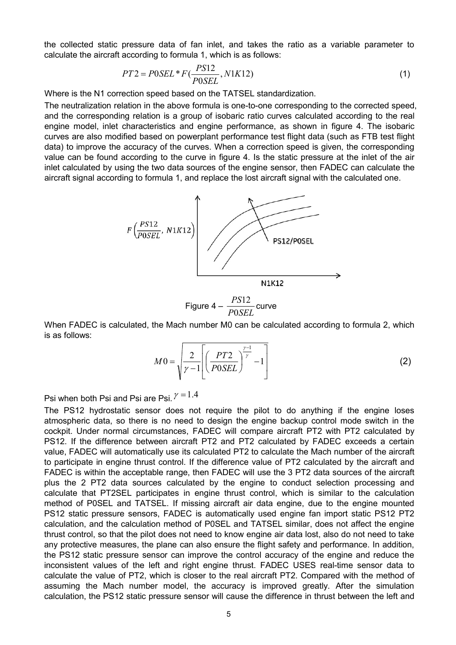the collected static pressure data of fan inlet, and takes the ratio as a variable parameter to<br>calculate the aircraft according to formula 1, which is as follows:<br> $PT2 = P0SEL * F(\frac{PS12}{P0SEL}, N1K12)$  (1)<br>Where is the N1 correctio the collected static pressure data of fan inlet, and takes the ratio as a variable parameter to<br>calculate the aircraft according to formula 1, which is as follows:<br> $PT2 = P0SEL * F(\frac{PS12}{P0SEL}, N1K12)$  (1)<br>Where is the N1 correctio

$$
PT2 = POSEL \ast F(\frac{PS12}{POSEL}, N1K12)
$$
\n<sup>(1)</sup>

the collected static pressure data of fan inlet, and takes the ratio as a variable parameter to<br>calculate the aircraft according to formula 1, which is as follows:<br> $PT2 = P0SEL * F(\frac{PS12}{P0SEL}, N1K12)$  (1)<br>Where is the N1 correctio the collected static pressure data of fan inlet, and takes the ratio as a variable parameter to<br>calculate the aircraft according to formula 1, which is as follows:<br> $PT2 = POSEL * F(\frac{PS12}{POSEL}, N1K12)$  (1)<br>Where is the N1 correction the collected static pressure data of fan inlet, and takes the ratio as a variable parameter to<br>calculate the aircraft according to formula 1, which is as follows:<br> $PT2 = POSEL * F(\frac{PS12}{POSEL}, N1K12)$  (1)<br>Where is the N1 correction the collected static pressure data of fan inlet, and takes the ratio as a variable parameter to<br>calculate the aircraft according to formula 1, which is as follows:<br> $PT2 = POSEL * F(\frac{PS12}{POSEL}, N1K12)$  (1)<br>Where is the N1 correction the collected static pressure data of fan inlet, and takes the ratio as a variable parameter to<br>calculate the aircraft according to formula 1, which is as follows:<br> $PT2 = POSEL * F(\frac{PS12}{POSEL}, N1K12)$  (1)<br>Where is the N1 correction the collected static pressure data of fan inlet, and takes the ratio as a variable parameter to<br>calculate the aircraft according to formula 1, which is as follows:<br> $PT2 = P0SEL * F(\frac{PS12}{P0SEL}, N1K12)$  (1)<br>Where is the N1 correct the collected static pressure data of fan inlet, and takes the ratio as a variable parameter to<br>calculate the aircraft according to formula 1, which is as follows:<br>  $PT2 = POSEL * F(\frac{PS12}{P0SEL}; N1K12)$  (1)<br>
Where is the N1 correc the collected static pressure data of fan inlet, and takes the ratio as a variable parameter to<br>calculate the aircraft according to formula 1, which is as follows:<br>  $PT2 = POSEL*F(\frac{PS12}{POSEL}, N1K12)$  (1)<br>
Where is the N1 correct the collected static pressure data of fan inlet, and takes the ratio as a variable parameter to calculate the aircraft according to formula 1, which is as follows:<br>  $PT2 = POSEL * F(\frac{PS12}{P0SEL}^*)/N1K12)$  (1)<br>
Where is the N1 corr



$$
M0 = \sqrt{\frac{2}{\gamma - 1} \left[ \left( \frac{PT2}{POSEL} \right)^{\frac{\gamma - 1}{\gamma}} - 1 \right]}
$$
 (2)

**EXECUTE AT A THE SET ALCT AT A THE SET ALCT AND THE SET AND CONDUCT AND THE SET AND CONDUCT AND SET AND CONDUCT AND SET AND CONDUCT AND SET AND CONDUCT AND SET AND CONTROLLED THE SET AND CONTROLLED THE SET AND CONTROLLED** Figure 4 -  $\frac{PS12/POSEL}{POSEL}$ <br>
Figure 4 -  $\frac{PS12}{POSEL}$  curve<br>
When FADEC is calculated, the Mach number M0 can be calculated according to formula 2, which<br>
is as follows:<br>  $M0 = \frac{2}{\sqrt{7}-1} \left[ \frac{PT2}{(POSEL)} \right]^{\frac{r-1}{r}} - 1$  (2) **PERTURE AIRT THE SET ASSET ASSET ASSET ASSET ASSET AND MIKE A CONSET AND RELATED ASSET AND RELATED AND RELATED AND RELATED AND RELATED AND PROFECT AND PROPERTIES (2) PRESS When both PSi and PSi are PSi.**  $\gamma = 1.4$ **<br>
PSI wh VALUE THEST WARE THEST WARE THEST WARE THEST WARE THEST WARE INTO THE SET AND ALL AND THEST AUTOMOTED THEST AUTOMOTED THEST AUTOMOTED THEST AND CONSIDENT THE PS12 hydrostatic sensor does not require the pilot to do anyth Example 19**<br> **Example 1998**<br> **Example 1998**<br> **Example 1998**<br> **Example 1998**<br> **Example 1998**<br> **Example 1999**<br> **Example 1999**<br> **Example 1999**<br> **Example 1999**<br> **Example 1999**<br> **Example 1999**<br> **Example 1999**<br> **Example 1999**<br> **Example 19** MIK12<br>
Figure 4 –  $\frac{PS12}{P0SEL}$  curve<br>
is as follows:<br>
is as follows:<br>
is as follows:<br>  $MO = \sqrt{\frac{2}{\gamma - 1} \left( \left( \frac{PT2}{P0SEL} \right)^{\frac{P}{\gamma}} - 1 \right)}$  (2)<br>
Psi when both Psi and Psi are Psi,  $\gamma = 1.4$ <br>
The PS12 hydrosta Figure 4 –  $\frac{PS12}{POSEL}$  curve<br>
is as follows:<br>
is as follows:<br>
is as follows:<br>  $MO = \sqrt{\frac{2}{\gamma - 1}} \left( \frac{PT2}{POSEL} \right)^{\frac{\gamma - 1}{\gamma}} - 1 \right)$  (2)<br>
Psi when both Psi and Psi are Psi,  $\gamma = 1.4$ <br>
The PS12 hydrostatic sensor does not r Figure  $4 - \frac{PS12}{POSEL}$  curve<br>
sa s follows:<br>
is as follows:<br>  $MO = \frac{2}{\sqrt{7-1}} \left( \frac{PT2}{POSEL} \right)^{\frac{N-1}{2}} - 1$  (2)<br>
Psi when both Psi and Psi are Psi  $\frac{N-1.4}{\sqrt{7-1}}$ <br>
The PS12 hydrostatic sensor does not require the pilot t Figure 4 -  $\frac{F_{\text{I}}}{P0SEL}$  curve<br>
is as follows:<br>
is as follows:<br>  $M0 = \sqrt{\frac{2}{\sqrt{1-1}}} \left( \frac{PT2}{P0SEL} \right)^{\frac{\gamma-1}{\gamma}} - 1 \right)$  (2)<br>
Psi when both Psi and Psi are Psi,  $\gamma = 1.4$ <br>
The PS12 hydrostatic sensor does not require the When FADEC is calculated, the Mach number M0 can be calculated according to formula 2, which<br>
is as follows:<br>  $MO = \sqrt{\frac{2}{\gamma - 1} \left[ \left( \frac{PT2}{P0SEL} \right)^{\frac{2^2}{\gamma}} - 1} \right]}$  (2)<br>
Psi when both Psi and Psi are Psi.  $\gamma = 1.4$ <br>
The P when FADEC is calculated, the mach number MU can be calculated according to formula 2, which<br>
is as follows:<br>
The PS12 hydrostatic sensor does not require the pilot to do anything if the engine losses<br>
The PS12 hydrostati **Example 1.1**  $M0 = \sqrt{\frac{P}{P}}$   $\left(\frac{P}{P}$   $\frac{Y}{Z}$   $\right)$   $\left(\frac{P}{T}$   $\right)$   $\left(\frac{P}{T}$  (2)  $\frac{Y}{Z}$  The PS12 hydrostatic sensor does not require the pilot to do anything if the engine losses and the pilot of the pilot of **EXECTS** When both Psi and Psi are Psi,  $X = 1.4$ <br>The PS12 hydrostatic sensor does not require the pilot to do anything if the engine loses<br>atmospheric data, so there is no need to design the engine backup control mode swi **EXECT**<br> **The PS12 hydrostatic sensor does not require the pliot to do anything if the engine losses<br>
atmospheric data, so there is no need to design the engine backup control mode switch in the<br>
accokplit. Under normal c** Psi when both Psi and Psi are Psi.  $Y = 1.4$ <br>The PS12 hydrostatic sensor does not require the pilot to do anything if the engine loses<br>atmospheric data, so there is no need to design the engine backup control mode switch i Psi when both Psi and Psi are Psi  $\frac{1}{\sqrt{1.21}}$ <br>The PS12 hydrostatic sensor does not require the pilot to do anything if the engine losses<br>atmospheric data, so there is no need to design the engine backup control mode s Psi when both Psi and Psi are Psi.  $r = 1.4$ <br>The PS12 hydrostatic sensor does not require the pilot to do anything if the engine losse<br>atmospheric data, so there is no need to design the engine backup control mode switch i calculation, the PS12 static pressure sensor will cause the difference in thrust between the left and